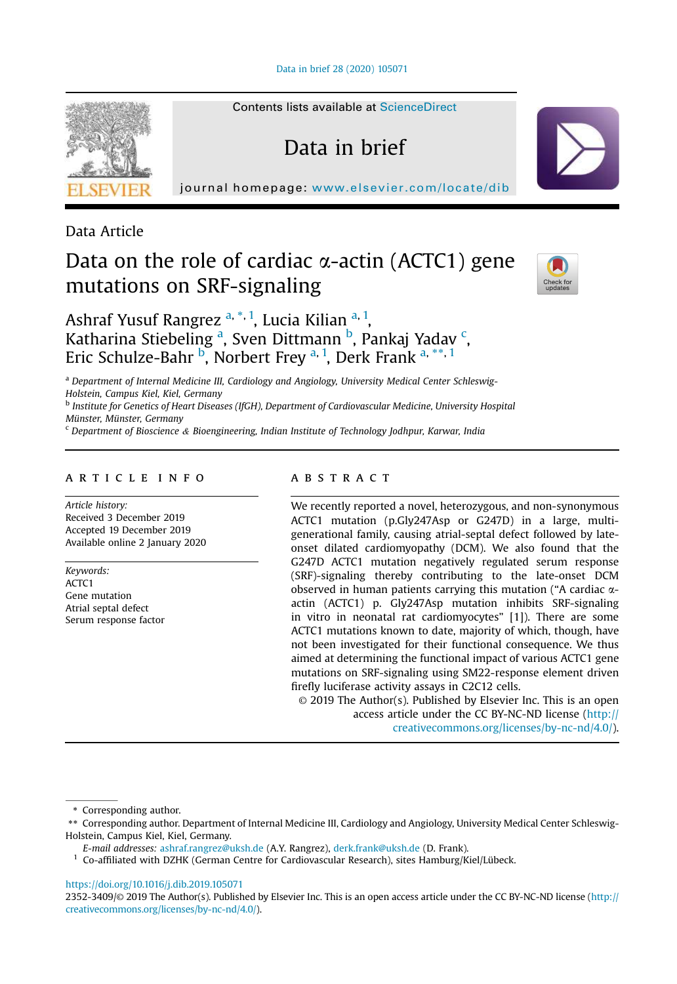Data in brief 28 (2020) 105071

Contents lists available at ScienceDirect

Data in brief

journal homepage: www.elsevier.com/locate/dib



Data Article

# Data on the role of cardiac  $\alpha$ -actin (ACTC1) gene mutations on SRF-signaling



Ashraf Yusuf Rangrez <sup>a, \*, 1</sup>, Lucia Kilian <sup>a, 1</sup>, Katharina Stiebeling <sup>a</sup>, Sven Dittmann <sup>b</sup>, Pankaj Yadav <sup>c</sup>, Eric Schulze-Bahr <sup>b</sup>, Norbert Frey <sup>a, 1</sup>, Derk Frank <sup>a, \*\*, 1</sup>

<sup>a</sup> Department of Internal Medicine III, Cardiology and Angiology, University Medical Center Schleswig-Holstein, Campus Kiel, Kiel, Germany

<sup>b</sup> Institute for Genetics of Heart Diseases (IfGH), Department of Cardiovascular Medicine, University Hospital Münster, Münster, Germany

 $c$  Department of Bioscience & Bioengineering, Indian Institute of Technology Jodhpur, Karwar, India

## article info

Article history: Received 3 December 2019 Accepted 19 December 2019 Available online 2 January 2020

Keywords: ACTC<sub>1</sub> Gene mutation Atrial septal defect Serum response factor

## abstract

We recently reported a novel, heterozygous, and non-synonymous ACTC1 mutation (p.Gly247Asp or G247D) in a large, multigenerational family, causing atrial-septal defect followed by lateonset dilated cardiomyopathy (DCM). We also found that the G247D ACTC1 mutation negatively regulated serum response (SRF)-signaling thereby contributing to the late-onset DCM observed in human patients carrying this mutation ("A cardiac  $\alpha$ actin (ACTC1) p. Gly247Asp mutation inhibits SRF-signaling in vitro in neonatal rat cardiomyocytes" [1]). There are some ACTC1 mutations known to date, majority of which, though, have not been investigated for their functional consequence. We thus aimed at determining the functional impact of various ACTC1 gene mutations on SRF-signaling using SM22-response element driven firefly luciferase activity assays in C2C12 cells.

© 2019 The Author(s). Published by Elsevier Inc. This is an open access article under the CC BY-NC-ND license (http:// creativecommons.org/licenses/by-nc-nd/4.0/).

\* Corresponding author.

1 Co-affiliated with DZHK (German Centre for Cardiovascular Research), sites Hamburg/Kiel/Lübeck.

https://doi.org/10.1016/j.dib.2019.105071

2352-3409/© 2019 The Author(s). Published by Elsevier Inc. This is an open access article under the CC BY-NC-ND license (http:// creativecommons.org/licenses/by-nc-nd/4.0/).

<sup>\*\*</sup> Corresponding author. Department of Internal Medicine III, Cardiology and Angiology, University Medical Center Schleswig-Holstein, Campus Kiel, Kiel, Germany.

E-mail addresses: ashraf.rangrez@uksh.de (A.Y. Rangrez), derk.frank@uksh.de (D. Frank).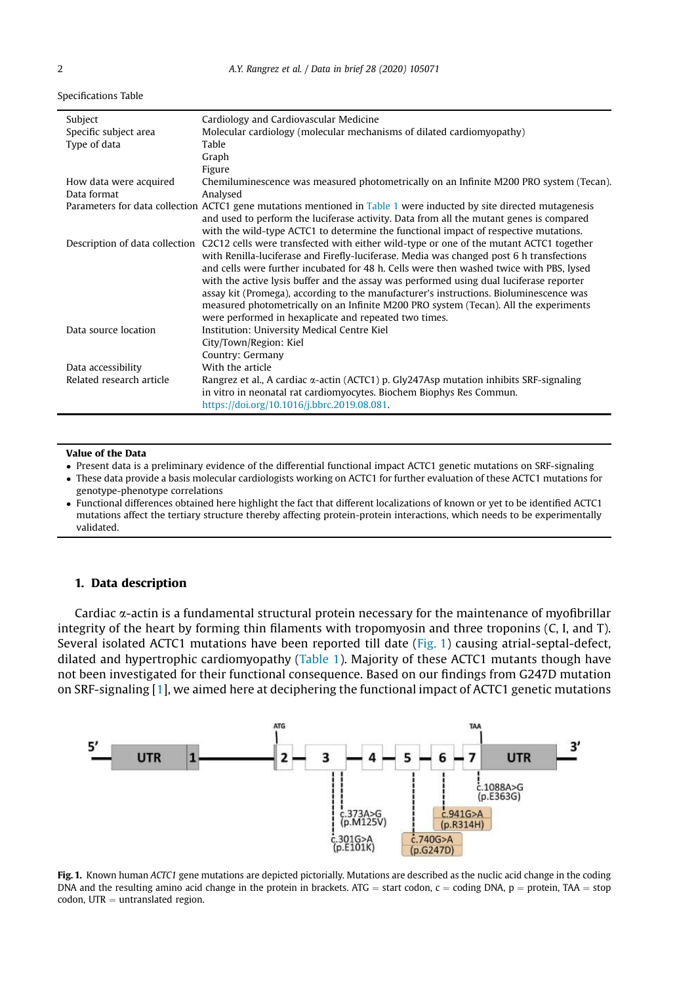Specifications Table

| Subject                  | Cardiology and Cardiovascular Medicine                                                                                |  |  |  |
|--------------------------|-----------------------------------------------------------------------------------------------------------------------|--|--|--|
| Specific subject area    | Molecular cardiology (molecular mechanisms of dilated cardiomyopathy)                                                 |  |  |  |
| Type of data             | Table                                                                                                                 |  |  |  |
|                          | Graph                                                                                                                 |  |  |  |
|                          | Figure                                                                                                                |  |  |  |
| How data were acquired   | Chemiluminescence was measured photometrically on an Infinite M200 PRO system (Tecan).                                |  |  |  |
| Data format              | Analysed                                                                                                              |  |  |  |
|                          | Parameters for data collection ACTC1 gene mutations mentioned in Table 1 were inducted by site directed mutagenesis   |  |  |  |
|                          | and used to perform the luciferase activity. Data from all the mutant genes is compared                               |  |  |  |
|                          | with the wild-type ACTC1 to determine the functional impact of respective mutations.                                  |  |  |  |
|                          | Description of data collection C2C12 cells were transfected with either wild-type or one of the mutant ACTC1 together |  |  |  |
|                          | with Renilla-luciferase and Firefly-luciferase. Media was changed post 6 h transfections                              |  |  |  |
|                          | and cells were further incubated for 48 h. Cells were then washed twice with PBS, lysed                               |  |  |  |
|                          | with the active lysis buffer and the assay was performed using dual luciferase reporter                               |  |  |  |
|                          | assay kit (Promega), according to the manufacturer's instructions. Bioluminescence was                                |  |  |  |
|                          | measured photometrically on an Infinite M200 PRO system (Tecan). All the experiments                                  |  |  |  |
|                          | were performed in hexaplicate and repeated two times.                                                                 |  |  |  |
| Data source location     | Institution: University Medical Centre Kiel                                                                           |  |  |  |
|                          | City/Town/Region: Kiel                                                                                                |  |  |  |
|                          | Country: Germany                                                                                                      |  |  |  |
| Data accessibility       | With the article                                                                                                      |  |  |  |
| Related research article | Rangrez et al., A cardiac $\alpha$ -actin (ACTC1) p. Gly247Asp mutation inhibits SRF-signaling                        |  |  |  |
|                          | in vitro in neonatal rat cardiomyocytes. Biochem Biophys Res Commun.                                                  |  |  |  |
|                          | https://doi.org/10.1016/j.bbrc.2019.08.081.                                                                           |  |  |  |

## Value of the Data

Present data is a preliminary evidence of the differential functional impact ACTC1 genetic mutations on SRF-signaling

- These data provide a basis molecular cardiologists working on ACTC1 for further evaluation of these ACTC1 mutations for genotype-phenotype correlations
- Functional differences obtained here highlight the fact that different localizations of known or yet to be identified ACTC1 mutations affect the tertiary structure thereby affecting protein-protein interactions, which needs to be experimentally validated.

## 1. Data description

Cardiac  $\alpha$ -actin is a fundamental structural protein necessary for the maintenance of myofibrillar integrity of the heart by forming thin filaments with tropomyosin and three troponins (C, I, and T). Several isolated ACTC1 mutations have been reported till date (Fig. 1) causing atrial-septal-defect, dilated and hypertrophic cardiomyopathy (Table 1). Majority of these ACTC1 mutants though have not been investigated for their functional consequence. Based on our findings from G247D mutation on SRF-signaling [1], we aimed here at deciphering the functional impact of ACTC1 genetic mutations



Fig. 1. Known human ACTC1 gene mutations are depicted pictorially. Mutations are described as the nuclic acid change in the coding DNA and the resulting amino acid change in the protein in brackets. ATG = start codon, c = coding DNA,  $p =$  protein, TAA = stop  $codon$ , UTR  $=$  untranslated region.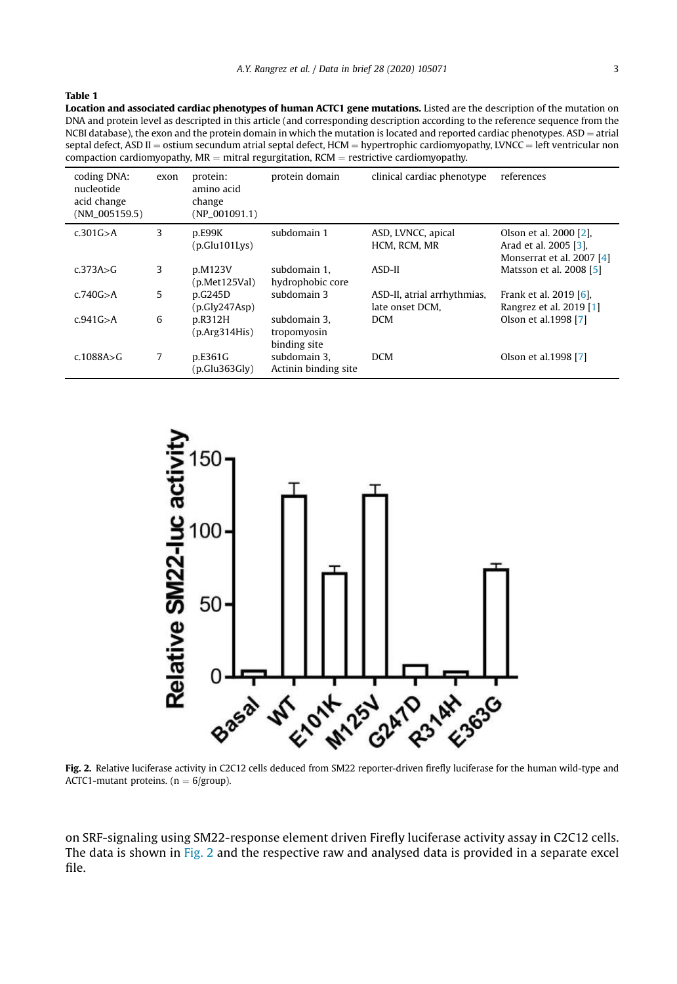## Table 1

Location and associated cardiac phenotypes of human ACTC1 gene mutations. Listed are the description of the mutation on DNA and protein level as descripted in this article (and corresponding description according to the reference sequence from the NCBI database), the exon and the protein domain in which the mutation is located and reported cardiac phenotypes. ASD  $=$  atrial septal defect, ASD II = ostium secundum atrial septal defect, HCM = hypertrophic cardiomyopathy, LVNCC = left ventricular non compaction cardiomyopathy,  $MR =$  mitral regurgitation,  $RCM =$  restrictive cardiomyopathy.

| coding DNA:<br>nucleotide<br>acid change<br>$(NM_005159.5)$ | exon | protein:<br>amino acid<br>change<br>$(NP_001091.1)$ | protein domain                              | clinical cardiac phenotype                     | references                                                                   |
|-------------------------------------------------------------|------|-----------------------------------------------------|---------------------------------------------|------------------------------------------------|------------------------------------------------------------------------------|
| c.301G > A                                                  | 3    | p.E99K<br>(p.Glu101Lvs)                             | subdomain 1                                 | ASD, LVNCC, apical<br>HCM, RCM, MR             | Olson et al. 2000 [2].<br>Arad et al. 2005 [3],<br>Monserrat et al. 2007 [4] |
| c.373A > G                                                  | 3    | p.M123V<br>(p.Met125Val)                            | subdomain 1.<br>hydrophobic core            | ASD-II                                         | Matsson et al. 2008 [5]                                                      |
| c.740G > A                                                  | 5    | p.G245D<br>(p.Gly247Asp)                            | subdomain 3                                 | ASD-II, atrial arrhythmias.<br>late onset DCM. | Frank et al. 2019 [6].<br>Rangrez et al. 2019 [1]                            |
| c.941G > A                                                  | 6    | p.R312H<br>(p, Arg314His)                           | subdomain 3.<br>tropomyosin<br>binding site | <b>DCM</b>                                     | Olson et al.1998 [7]                                                         |
| $c.1088A\Im G$                                              | 7    | p.E361G<br>(p.Glu363Gly)                            | subdomain 3.<br>Actinin binding site        | <b>DCM</b>                                     | Olson et al.1998 [7]                                                         |



Fig. 2. Relative luciferase activity in C2C12 cells deduced from SM22 reporter-driven firefly luciferase for the human wild-type and ACTC1-mutant proteins. ( $n = 6$ /group).

on SRF-signaling using SM22-response element driven Firefly luciferase activity assay in C2C12 cells. The data is shown in Fig. 2 and the respective raw and analysed data is provided in a separate excel file.